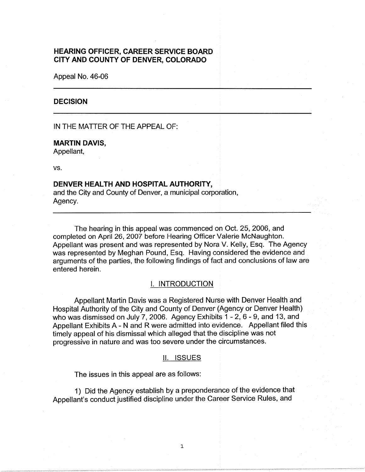# **HEARING OFFICER, CAREER SERVICE BOARD CITY AND COUNTY OF DENVER, COLORADO**

Appeal No. 46-06

### **DECISION**

IN THE MATTER OF THE APPEAL OF:

### **MARTIN DAVIS,**

Appellant,

vs.

### **DENVER HEALTH AND HOSPITAL AUTHORITY,**

and the City and County of Denver, a municipal corporation, Agency.

The hearing in this appeal was commenced on Oct. 25, 2006, and completed on April 26, 2007 before Hearing Officer Valerie McNaughton. Appellant was present and was represented by Nora V. Kelly, Esq. The Agency was represented by Meghan Pound, Esq. Having considered the evidence and arguments of the parties, the following findings of fact and conclusions of law are entered herein.

## I. INTRODUCTION

Appellant Martin Davis was a Registered Nurse with Denver Health and Hospital Authority of the City and County of Denver (Agency or Denver Health) who was dismissed on July 7, 2006. Agency Exhibits 1 - 2, 6 - 9, and 13, and Appellant Exhibits A - N and R were admitted into evidence. Appellant filed this timely appeal of his dismissal which alleged that the discipline was not progressive in nature and was too severe under the circumstances.

#### II. ISSUES

The issues in this appeal are as follows:

1) Did the Agency establish by a preponderance of the evidence that Appellant's conduct justified discipline under the Career Service Rules, and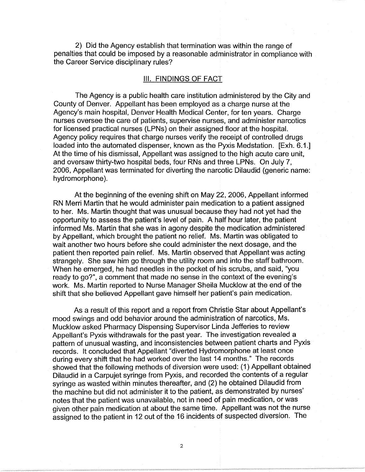2) Did the Agency establish that termination was within the range of penalties that could be imposed by a reasonable administrator in compliance with the Career Service disciplinary rules?

## Ill. FINDINGS OF FACT

The Agency is a public health care institution administered by the City and County of Denver. Appellant has been employed as a charge nurse at the Agency's main hospital, Denver Health Medical Center, for ten years. Charge nurses oversee the care of patients, supervise nurses, and administer narcotics for licensed practical nurses (LPNs) on their assigned floor at the hospital. Agency policy requires that charge nurses verify the receipt of controlled drugs loaded into the automated dispenser, known as the Pyxis Medstation. [Exh. 6.1.] At the time of his dismissal, Appellant was assigned to the high acute care unit, and oversaw thirty-two hospital beds, four RNs and three LPNs. On July 7, 2006, Appellant was terminated for diverting the narcotic Dilaudid (generic name: hydromorphone).

At the beginning of the evening shift on May 22, 2006, Appellant informed RN Merri Martin that he would administer pain medication to a patient assigned to her. Ms. Martin thought that was unusual because they had not yet had the opportunity to assess the patient's level of pain. A half hour later, the patient informed Ms. Martin that she was in agony despite the medication administered by Appellant, which brought the patient no relief. Ms. Martin was obligated to wait another two hours before she could administer the next dosage, and the patient then reported pain relief. Ms. Martin observed that Appellant was acting strangely. She saw him go through the utility room and into the staff bathroom. When he emerged, he had needles in the pocket of his scrubs, and said, "you ready to go?", a comment that made no sense in the context of the evening's work. Ms. Martin reported to Nurse Manager Sheila Mucklow at the end of the shift that she believed Appellant gave himself her patient's pain medication.

As a result of this report and a report from Christie Star about Appellant's mood swings and odd behavior around the administration of narcotics, Ms. Mucklow asked Pharmacy Dispensing Supervisor Linda Jefferies to review Appellant's Pyxis withdrawals for the past year. The investigation revealed a pattern of unusual wasting, and inconsistencies between patient charts and Pyxis records. It concluded that Appellant "diverted Hydromorphone at least once during every shift that he had worked over the last 14 months." The records showed that the following methods of diversion were used: (1) Appellant obtained Dilaudid in a Carpujet syringe from Pyxis, and recorded the contents of a regular syringe as wasted within minutes thereafter, and (2) he obtained Dilaudid from the machine but did not administer it to the patient, as demonstrated by nurses' notes that the patient was unavailable, not in need of pain medication, or was given other pain medication at about the same time. Appellant was not the nurse assigned to the patient in 12 out of the 16 incidents of suspected diversion. The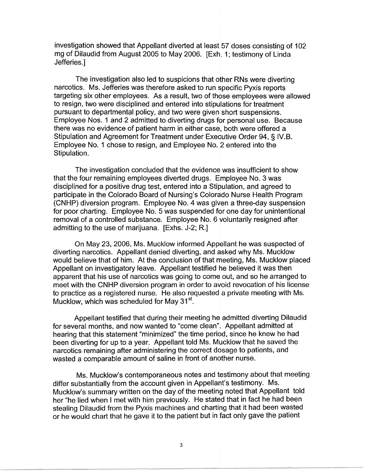investigation showed that Appellant diverted at least 57 doses consisting of 102 mg of Dilaudid from August 2005 to May 2006. [Exh. 1; testimony of Linda Jefferies.]

The investigation also led to suspicions that other RNs were diverting narcotics. Ms. Jefferies was therefore asked to run specific Pyxis reports targeting six other employees. As a result, two of those employees were allowed to resign, two were disciplined and entered into stipulations for treatment pursuant to departmental policy, and two were given short suspensions. Employee Nos. 1 and 2 admitted to diverting drugs for personal use. Because there was no evidence of patient harm in either case, both were offered a Stipulation and Agreement for Treatment under Executive Order 94, § IV.B. Employee No. 1 chose to resign, and Employee No. 2 entered into the Stipulation.

The investigation concluded that the evidence was insufficient to show that the four remaining employees diverted drugs. Employee No. 3 was disciplined for a positive drug test, entered into a Stipulation, and agreed to participate in the Colorado Board of Nursing's Colorado Nurse Health Program (CNHP) diversion program. Employee No. 4 was given a three-day suspension for poor charting. Employee No. 5 was suspended for one day for unintentional removal of a controlled substance. Employee No. 6 voluntarily resigned after admitting to the use of marijuana. [Exhs. J-2; R.]

On May 23, 2006, Ms. Mucklow informed Appellant he was suspected of diverting narcotics. Appellant denied diverting, and asked why Ms. Mucklow would believe that of him. At the conclusion of that meeting, Ms. Mucklow placed Appellant on investigatory leave. Appellant testified he believed it was then apparent that his use of narcotics was going to come out, and so he arranged to meet with the CNHP diversion program in order to avoid revocation of his license to practice as a registered nurse. He also requested a private meeting with Ms. Mucklow, which was scheduled for May  $31<sup>st</sup>$ .

Appellant testified that during their meeting he admitted diverting Dilaudid for several months, and now wanted to "come clean". Appellant admitted at hearing that this statement "minimized" the time period, since he knew he had been diverting for up to a year. Appellant told Ms. Mucklow that he saved the narcotics remaining after administering the correct dosage to patients, and wasted a comparable amount of saline in front of another nurse.

Ms. Mucklow's contemporaneous notes and testimony about that meeting differ substantially from the account given in Appellant's testimony. Ms. Mucklow's summary written on the day of the meeting noted that Appellant told her "he lied when I met with him previously. He stated that in fact he had been stealing Dilaudid from the Pyxis machines and charting that it had been wasted or he would chart that he gave it to the patient but in fact only gave the patient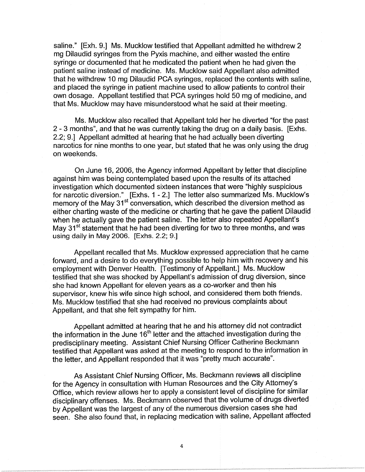saline." [Exh. 9.] Ms. Mucklow testified that Appellant admitted he withdrew 2 mg Dilaudid syringes from the Pyxis machine, and either wasted the entire syringe or documented that he medicated the patient when he had given the patient saline instead of medicine. Ms. Mucklow said Appellant also admitted that he withdrew 10 mg Dilaudid PCA syringes, replaced the contents with saline, and placed the syringe in patient machine used to allow patients to control their own dosage. Appellant testified that PCA syringes hold 50 mg of medicine, and that Ms. Mucklow may have misunderstood what he said at their meeting.

Ms. Mucklow also recalled that Appellant told her he diverted "for the past 2 - 3 months", and that he was currently taking the drug on a daily basis. [Exhs. 2.2; 9.] Appellant admitted at hearing that he had actually been diverting narcotics for nine months to one year, but stated that he was only using the drug on weekends.

On June 16, 2006, the Agency informed Appellant by letter that discipline against him was being contemplated based upon the results of its attached investigation which documented sixteen instances that were "highly suspicious for narcotic diversion." [Exhs. 1 - 2.] The letter also summarized Ms. Mucklow's memory of the May  $31<sup>st</sup>$  conversation, which described the diversion method as either charting waste of the medicine or charting that he gave the patient Dilaudid when he actually gave the patient saline. The letter also repeated Appellant's May  $31<sup>st</sup>$  statement that he had been diverting for two to three months, and was using daily in May 2006. [Exhs. 2.2; 9.]

Appellant recalled that Ms. Mucklow expressed appreciation that he came forward, and a desire to do everything possible to help him with recovery and his employment with Denver Health. [Testimony of Appellant.] Ms. Mucklow testified that she was shocked by Appellant's admission of drug diversion, since she had known Appellant for eleven years as a co-worker and then his supervisor, knew his wife since high school, and considered them both friends. Ms. Mucklow testified that she had received no previous complaints about Appellant, and that she felt sympathy for him.

Appellant admitted at hearing that he and his attorney did not contradict the information in the June  $16<sup>th</sup>$  letter and the attached investigation during the predisciplinary meeting. Assistant Chief Nursing Officer Catherine Beckmann testified that Appellant was asked at the meeting to respond to the information in the letter, and Appellant responded that it was "pretty much accurate".

As Assistant Chief Nursing Officer, Ms. Beckmann reviews all discipline for the Agency in consultation with Human Resources and the City Attorney's Office, which review allows her to apply a consistent level of discipline for similar disciplinary offenses. Ms. Beckmann observed that the volume of drugs diverted by Appellant was the largest of any of the numerous diversion cases she had seen. She also found that, in replacing medication with saline, Appellant affected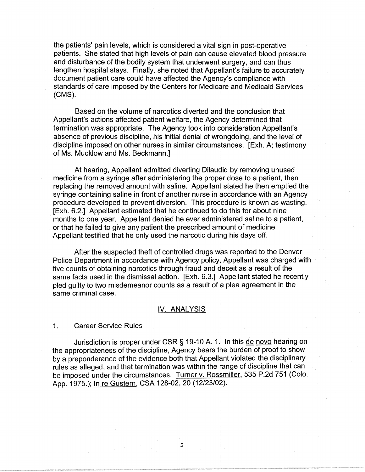the patients' pain levels, which is considered a vital sign in post-operative patients. She stated that high levels of pain can cause elevated blood pressure and disturbance of the bodily system that underwent surgery, and can thus lengthen hospital stays. Finally, she noted that Appellant's failure to accurately document patient care could have affected the Agency's compliance with standards of care imposed by the Centers for Medicare and Medicaid Services **(CMS).** 

Based on the volume of narcotics diverted and the conclusion that Appellant's actions affected patient welfare, the Agency determined that termination was appropriate. The Agency took into consideration Appellant's absence of previous discipline, his initial denial of wrongdoing, and the level of discipline imposed on other nurses in similar circumstances. [Exh. A; testimony of Ms. Mucklow and Ms. Beckmann.]

At hearing, Appellant admitted diverting Dilaudid by removing unused medicine from a syringe after administering the proper dose to a patient, then replacing the removed amount with saline. Appellant stated he then emptied the syringe containing saline in front of another nurse in accordance with an Agency procedure developed to prevent diversion. This procedure is known as wasting. [Exh. 6.2.] Appellant estimated that he continued to do this for about nine months to one year. Appellant denied he ever administered saline to a patient, or that he failed to give any patient the prescribed amount of medicine. Appellant testified that he only used the narcotic during his days off.

After the suspected theft of controlled drugs was reported to the Denver Police Department in accordance with Agency policy, Appellant was charged with five counts of obtaining narcotics through fraud and deceit as a result of the same facts used in the dismissal action. [Exh. 6.3.] Appellant stated he recently pied guilty to two misdemeanor counts as a result of a plea agreement in the same criminal case.

### IV. ANALYSIS

#### 1. Career Service Rules

Jurisdiction is proper under CSR § 19-10 A. 1. In this de novo hearing on the appropriateness of the discipline, Agency bears the burden of proof to show by a preponderance of the evidence both that Appellant violated the disciplinary rules as alleged, and that termination was within the range of discipline that can be imposed under the circumstances. Turner v. Rossmiller, 535 P.2d 751 (Colo. App. 1975.); In re Gustern, CSA 128-02, 20 (12/23/02).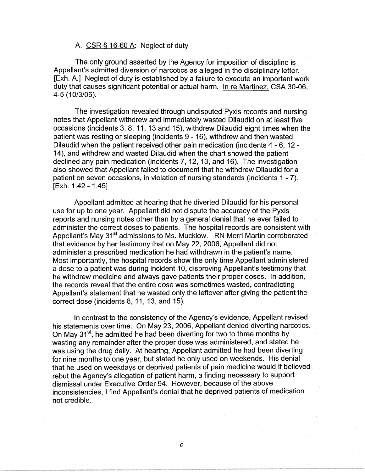# A. CSR § 16-60 A: Neglect of duty

The only ground asserted by the Agency for imposition of discipline is Appellant's admitted diversion of narcotics as alleged in the disciplinary letter. [Exh. A.] Neglect of duty is established by a failure to execute an important work duty that causes significant potential or actual harm. In re Martinez, CSA 30-06, 4-5 ( 10/3/06).

The investigation revealed through undisputed Pyxis records and nursing notes that Appellant withdrew and immediately wasted Dilaudid on at least five occasions (incidents 3, 8, 11, 13 and 15), withdrew Dilaudid eight times when the patient was resting or sleeping (incidents 9 - 16), withdrew and then wasted Dilaudid when the patient received other pain medication (incidents 4 - 6, 12 - 14), and withdrew and wasted Dilaudid when the chart showed the patient declined any pain medication (incidents 7, 12, 13, and 16). The investigation also showed that Appellant failed to document that he withdrew Dilaudid for a patient on seven occasions, in violation of nursing standards (incidents 1 - 7). [Exh. 1.42 - 1.45]

Appellant admitted at hearing that he diverted Dilaudid for his personal use for up to one year. Appellant did not dispute the accuracy of the Pyxis reports and nursing notes other than by a general denial that he ever failed to administer the correct doses to patients. The hospital records are consistent with Appellant's May 31<sup>st</sup> admissions to Ms. Mucklow. RN Merri Martin corroborated that evidence by her testimony that on May 22, 2006, Appellant did not administer a prescribed medication he had withdrawn in the patient's name. Most importantly, the hospital records show the only time Appellant administered a dose to a patient was during incident 10, disproving Appellant's testimony that he withdrew medicine and always gave patients their proper doses. In addition, the records reveal that the entire dose was sometimes wasted, contradicting Appellant's statement that he wasted only the leftover after giving the patient the correct dose (incidents 8, 11, 13, and 15).

In contrast to the consistency of the Agency's evidence, Appellant revised his statements over time. On May 23, 2006, Appellant denied diverting narcotics. On May  $31<sup>st</sup>$ , he admitted he had been diverting for two to three months by wasting any remainder after the proper dose was administered, and stated he was using the drug daily. At hearing, Appellant admitted he had been diverting for nine months to one year, but stated he only used on weekends. His denial that he used on weekdays or deprived patients of pain medicine would if believed rebut the Agency's allegation of patient harm, a finding necessary to support dismissal under Executive Order 94. However, because of the above inconsistencies, I find Appellant's denial that he deprived patients of medication not credible.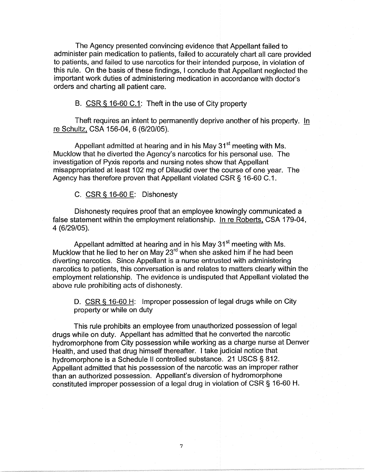The Agency presented convincing evidence that Appellant failed to administer pain medication to patients, failed to accurately chart all care provided to patients, and failed to use narcotics for their intended purpose, in violation of this rule. On the basis of these findings, I conclude that Appellant neglected the important work duties of administering medication in accordance with doctor's orders and charting all patient care.

B. CSR § 16-60 C.1: Theft in the use of City property

Theft requires an intent to permanently deprive another of his property. In re Schultz, CSA 156-04, 6 (6/20/05).

Appellant admitted at hearing and in his May 31<sup>st</sup> meeting with Ms. Mucklow that he diverted the Agency's narcotics for his personal use. The investigation of Pyxis reports and nursing notes show that Appellant misappropriated at least 102 mg of Dilaudid over the course of one year. The Agency has therefore proven that Appellant violated CSR § 16-60 C.1.

C. CSR§ 16-60 E: Dishonesty

Dishonesty requires proof that an employee knowingly communicated a false statement within the employment relationship. In re Roberts, CSA 179-04, 4 (6/29/05).

Appellant admitted at hearing and in his May 31<sup>st</sup> meeting with Ms. Mucklow that he lied to her on May 23<sup>rd</sup> when she asked him if he had been diverting narcotics. Since Appellant is a nurse entrusted with administering narcotics to patients, this conversation is and relates to matters clearly within the employment relationship. The evidence is undisputed that Appellant violated the above rule prohibiting acts of dishonesty.

D. CSR§ 16-60 H: Improper possession of legal drugs while on City property or while on duty

This rule prohibits an employee from unauthorized possession of legal drugs while on duty. Appellant has admitted that he converted the narcotic hydromorphone from City possession while working as a charge nurse at Denver Health, and used that drug himself thereafter. I take judicial notice that hydromorphone is a Schedule II controlled substance. 21 USCS § 812. Appellant admitted that his possession of the narcotic was an improper rather than an authorized possession. Appellant's diversion of hydromorphone constituted improper possession of a legal drug in violation of CSR§ 16-60 H.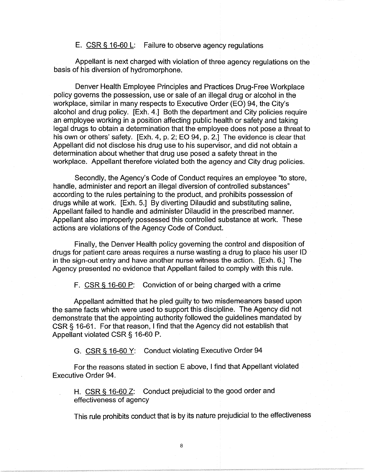## E. CSR § 16-60 L: Failure to observe agency regulations

Appellant is next charged with violation of three agency regulations on the basis of his diversion of hydromorphone.

Denver Health Employee Principles and Practices Drug-Free Workplace policy governs the possession, use or sale of an illegal drug or alcohol in the workplace, similar in many respects to Executive Order (EO) 94, the City's alcohol and drug policy. [Exh. 4.] Both the department and City policies require an employee working in a position affecting public health or safety and taking legal drugs to obtain a determination that the employee does not pose a threat to his own or others' safety. [Exh. 4, p. 2; EO 94, p. 2.] The evidence is clear that Appellant did not disclose his drug use to his supervisor, and did not obtain a determination about whether that drug use posed a safety threat in the workplace. Appellant therefore violated both the agency and City drug policies.

Secondly, the Agency's Code of Conduct requires an employee "to store, handle, administer and report an illegal diversion of controlled substances" according to the rules pertaining to the product, and prohibits possession of drugs while at work. [Exh. 5.] By diverting Dilaudid and substituting saline, Appellant failed to handle and administer Dilaudid in the prescribed manner. Appellant also improperly possessed this controlled substance at work. These actions are violations of the Agency Code of Conduct.

Finally, the Denver Health policy governing the control and disposition of drugs for patient care areas requires a nurse wasting a drug to place his user ID in the sign-out entry and have another nurse witness the action. [Exh. 6.] The Agency presented no evidence that Appellant failed to comply with this rule.

F. CSR § 16-60 P: Conviction of or being charged with a crime

Appellant admitted that he pied guilty to two misdemeanors based upon the same facts which were used to support this discipline. The Agency did not demonstrate that the appointing authority followed the guidelines mandated by CSR § 16-61. For that reason, I find that the Agency did not establish that Appellant violated **CSR§** 16-60 P.

G. CSR § 16-60 Y: Conduct violating Executive Order 94

For the reasons stated in section E above, I find that Appellant violated Executive Order 94.

H. CSR§ 16-60 Z: Conduct prejudicial to the good order and effectiveness of agency

This rule prohibits conduct that is by its nature prejudicial to the effectiveness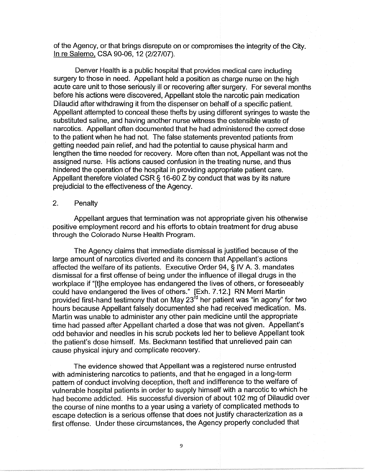of the Agency, or that brings disrepute on or compromises the integrity of the City. In re Salerno, CSA 90-06, 12 (2/27/07).

Denver Health is a public hospital that provides medical care including surgery to those in need. Appellant held a position as charge nurse on the high acute care unit to those seriously ill or recovering after surgery. For several months before his actions were discovered, Appellant stole the narcotic pain medication Dilaudid after withdrawing it from the dispenser on behalf of a specific patient. Appellant attempted to conceal these thefts by using different syringes to waste the substituted saline, and having another nurse witness the ostensible waste of narcotics. Appellant often documented that he had administered the correct dose to the patient when he had not. The false statements prevented patients from getting needed pain relief, and had the potential to cause physical harm and lengthen the time needed for recovery. More often than not, Appellant was not the assigned nurse. His actions caused confusion in the treating nurse, and thus hindered the operation of the hospital in providing appropriate patient care. Appellant therefore violated CSR § 16-60 Z by conduct that was by its nature prejudicial to the effectiveness of the Agency.

# 2. Penalty

Appellant argues that termination was not appropriate given his otherwise positive employment record and his efforts to obtain treatment for drug abuse through the Colorado Nurse Health Program.

The Agency claims that immediate dismissal is justified because of the large amount of narcotics diverted and its concern that Appellant's actions affected the welfare of its patients. Executive Order 94, § IV A. 3. mandates dismissal for a first offense of being under the influence of illegal drugs in the workplace if "[t]he employee has endangered the lives of others, or foreseeably could have endangered the lives of others." [Exh. 7.12.] RN Merri Martin provided first-hand testimony that on May  $23^{\text{rd}}$  her patient was "in agony" for two hours because Appellant falsely documented she had received medication. Ms. Martin was unable to administer any other pain medicine until the appropriate time had passed after Appellant charted a dose that was not given. Appellant's odd behavior and needles in his scrub pockets led her to believe Appellant took the patient's dose himself. Ms. Beckmann testified that unrelieved pain can cause physical injury and complicate recovery.

The evidence showed that Appellant was a registered nurse entrusted with administering narcotics to patients, and that he engaged in a long-term pattern of conduct involving deception, theft and indifference to the welfare of vulnerable hospital patients in order to supply himself with a narcotic to which he had become addicted. His successful diversion of about 102 mg of Dilaudid over the course of nine months to a year using a variety of complicated methods to escape detection is a serious offense that does not justify characterization as a first offense. Under these circumstances, the Agency properly concluded that